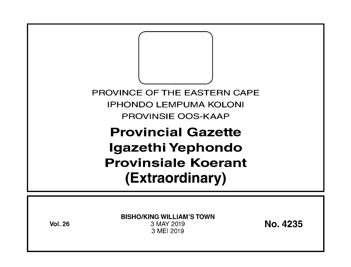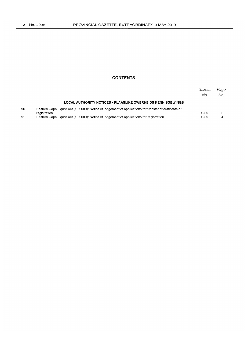## **CONTENTS**

|    |                                                                                                       | Gazette<br>No. | Page<br>No. |
|----|-------------------------------------------------------------------------------------------------------|----------------|-------------|
|    | LOCAL AUTHORITY NOTICES • PLAASLIKE OWERHEIDS KENNISGEWINGS                                           |                |             |
| 90 | Eastern Cape Liquor Act (10/2003): Notice of lodgement of applications for transfer of certificate of | 4235           |             |
| 91 |                                                                                                       | 4235           |             |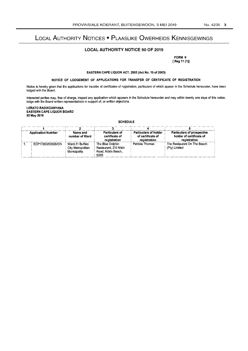# LOCAL AUTHORITY NOTICES • PLAASLIKE OWERHEIDS KENNISGEWINGS

## **LOCAL AUTHORITY NOTICE 90 OF** 2019

FORM 9 [Reg 11 (1)]

EASTERN CAPE LIQUOR ACT, 2003 (Act No. 10 of 2003)

### NOTICE OF LODGEMENT OF APPLICATIONS FOR TRANSFER OF CERTIFICATE OF REGISTRATION

Notice is hereby given that the applications for transfer of certificates of registration, particulars of which appear in the Schedule hereunder, have been lodged with the Board.

Interested parties may, free of charge, inspect any application which appears in the Schedule hereunder and may within twenty one days of this notice, lodge with the Board written representations in support of, or written objections.

LERATO RADIKOANYANA EASTERN CAPE LIQUOR BOARD 02 May 2019

|                           | <b>SCHEDULE</b>                                      |                                                                        |                                                                   |                                                                        |  |
|---------------------------|------------------------------------------------------|------------------------------------------------------------------------|-------------------------------------------------------------------|------------------------------------------------------------------------|--|
|                           |                                                      |                                                                        |                                                                   |                                                                        |  |
| <b>Application Number</b> | Name and<br>number of Ward                           | <b>Particulars of</b><br>certificate of<br>registration                | <b>Particulars of holder</b><br>of certificate of<br>registration | Particulars of prospective<br>holder of certificate of<br>registration |  |
| ECP17263/03026/ON         | Ward 31 Buffalo<br>City Metropolitan<br>Municipality | The Blue Dolphin<br>Restaurant, 210 Main<br>Road, Kidds Beach,<br>5200 | Patricia Thomas                                                   | The Restaurant On The Beach<br>(Pty) Limited                           |  |